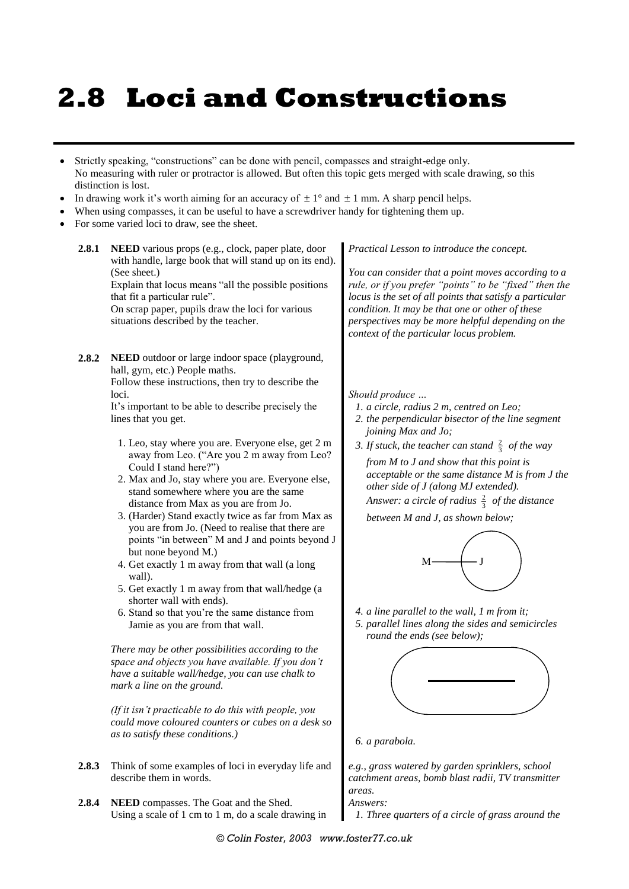# **2.8 Loci and Constructions**

- Strictly speaking, "constructions" can be done with pencil, compasses and straight-edge only. No measuring with ruler or protractor is allowed. But often this topic gets merged with scale drawing, so this distinction is lost.
- In drawing work it's worth aiming for an accuracy of  $\pm 1^{\circ}$  and  $\pm 1$  mm. A sharp pencil helps.
- When using compasses, it can be useful to have a screwdriver handy for tightening them up.
- For some varied loci to draw, see the sheet.
	- **2.8.1 NEED** various props (e.g., clock, paper plate, door with handle, large book that will stand up on its end). (See sheet.) Explain that locus means "all the possible positions

that fit a particular rule".

On scrap paper, pupils draw the loci for various situations described by the teacher.

**2.8.2 NEED** outdoor or large indoor space (playground, hall, gym, etc.) People maths. Follow these instructions, then try to describe the loci.

> It's important to be able to describe precisely the lines that you get.

- 1. Leo, stay where you are. Everyone else, get 2 m away from Leo. ("Are you 2 m away from Leo? Could I stand here?")
- 2. Max and Jo, stay where you are. Everyone else, stand somewhere where you are the same distance from Max as you are from Jo.
- 3. (Harder) Stand exactly twice as far from Max as you are from Jo. (Need to realise that there are points "in between" M and J and points beyond J but none beyond M.)
- 4. Get exactly 1 m away from that wall (a long wall).
- 5. Get exactly 1 m away from that wall/hedge (a shorter wall with ends).
- 6. Stand so that you're the same distance from Jamie as you are from that wall.

*There may be other possibilities according to the space and objects you have available. If you don't have a suitable wall/hedge, you can use chalk to mark a line on the ground.*

*(If it isn't practicable to do this with people, you could move coloured counters or cubes on a desk so as to satisfy these conditions.)*

- **2.8.3** Think of some examples of loci in everyday life and describe them in words.
- **2.8.4 NEED** compasses. The Goat and the Shed. Using a scale of 1 cm to 1 m, do a scale drawing in

*Practical Lesson to introduce the concept.*

*You can consider that a point moves according to a rule, or if you prefer "points" to be "fixed" then the locus is the set of all points that satisfy a particular condition. It may be that one or other of these perspectives may be more helpful depending on the context of the particular locus problem.*

*Should produce …*

- *1. a circle, radius 2 m, centred on Leo;*
- *2. the perpendicular bisector of the line segment joining Max and Jo;*
- 3. If stuck, the teacher can stand  $\frac{2}{3}$  of the way

*from M to J and show that this point is acceptable or the same distance M is from J the other side of J (along MJ extended). Answer: a circle of radius*  2 3 *of the distance* 

*between M and J, as shown below;*



*4. a line parallel to the wall, 1 m from it; 5. parallel lines along the sides and semicircles round the ends (see below);*



*6. a parabola.*

*e.g., grass watered by garden sprinklers, school catchment areas, bomb blast radii, TV transmitter areas.*

*Answers:*

*1. Three quarters of a circle of grass around the*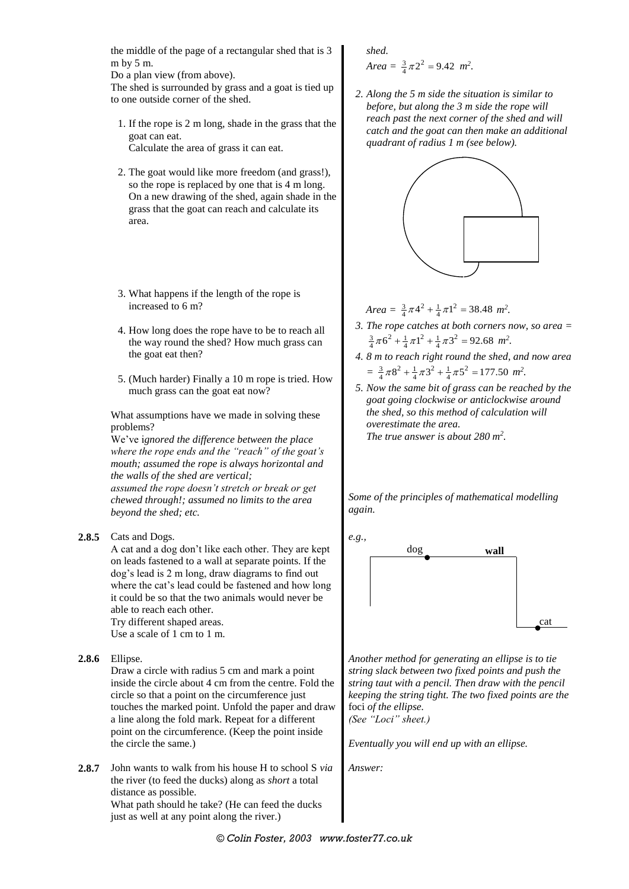the middle of the page of a rectangular shed that is 3 m by 5 m.

Do a plan view (from above).

The shed is surrounded by grass and a goat is tied up to one outside corner of the shed.

- 1. If the rope is 2 m long, shade in the grass that the goat can eat. Calculate the area of grass it can eat.
- 2. The goat would like more freedom (and grass!), so the rope is replaced by one that is 4 m long. On a new drawing of the shed, again shade in the grass that the goat can reach and calculate its area.
- 3. What happens if the length of the rope is increased to 6 m?
- 4. How long does the rope have to be to reach all the way round the shed? How much grass can the goat eat then?
- 5. (Much harder) Finally a 10 m rope is tried. How much grass can the goat eat now?

What assumptions have we made in solving these problems?

We've i*gnored the difference between the place where the rope ends and the "reach" of the goat's mouth; assumed the rope is always horizontal and the walls of the shed are vertical; assumed the rope doesn't stretch or break or get chewed through!; assumed no limits to the area beyond the shed; etc.*

**2.8.5** Cats and Dogs.

A cat and a dog don't like each other. They are kept on leads fastened to a wall at separate points. If the dog's lead is 2 m long, draw diagrams to find out where the cat's lead could be fastened and how long it could be so that the two animals would never be able to reach each other. Try different shaped areas.

Use a scale of 1 cm to 1 m.

**2.8.6** Ellipse.

Draw a circle with radius 5 cm and mark a point inside the circle about 4 cm from the centre. Fold the circle so that a point on the circumference just touches the marked point. Unfold the paper and draw a line along the fold mark. Repeat for a different point on the circumference. (Keep the point inside the circle the same.)

**2.8.7** John wants to walk from his house H to school S *via* the river (to feed the ducks) along as *short* a total distance as possible. What path should he take? (He can feed the ducks

just as well at any point along the river.)

### *shed.*

Area = 
$$
\frac{3}{4}\pi 2^2 = 9.42
$$
 m<sup>2</sup>.

*2. Along the 5 m side the situation is similar to before, but along the 3 m side the rope will reach past the next corner of the shed and will catch and the goat can then make an additional quadrant of radius 1 m (see below).*



 $Area = \frac{3}{4}\pi 4^2 + \frac{1}{4}\pi 1^2 = 38.48$   $m^2$ .

- *3. The rope catches at both corners now, so area =*   $\frac{3}{4}\pi 6^2 + \frac{1}{4}\pi 1^2 + \frac{1}{4}\pi 3^2 = 92.68$  *m*<sup>2</sup>.
- *4. 8 m to reach right round the shed, and now area*   $=\frac{3}{4}\pi 8^2 + \frac{1}{4}\pi 3^2 + \frac{1}{4}\pi 5^2 = 177.50$  *m*<sup>2</sup>.
- *5. Now the same bit of grass can be reached by the goat going clockwise or anticlockwise around the shed, so this method of calculation will overestimate the area. The true answer is about 280 m<sup>2</sup> .*

*Some of the principles of mathematical modelling again.*



*Another method for generating an ellipse is to tie string slack between two fixed points and push the string taut with a pencil. Then draw with the pencil keeping the string tight. The two fixed points are the*  foci *of the ellipse. (See "Loci" sheet.)*

*Eventually you will end up with an ellipse.*

*Answer:*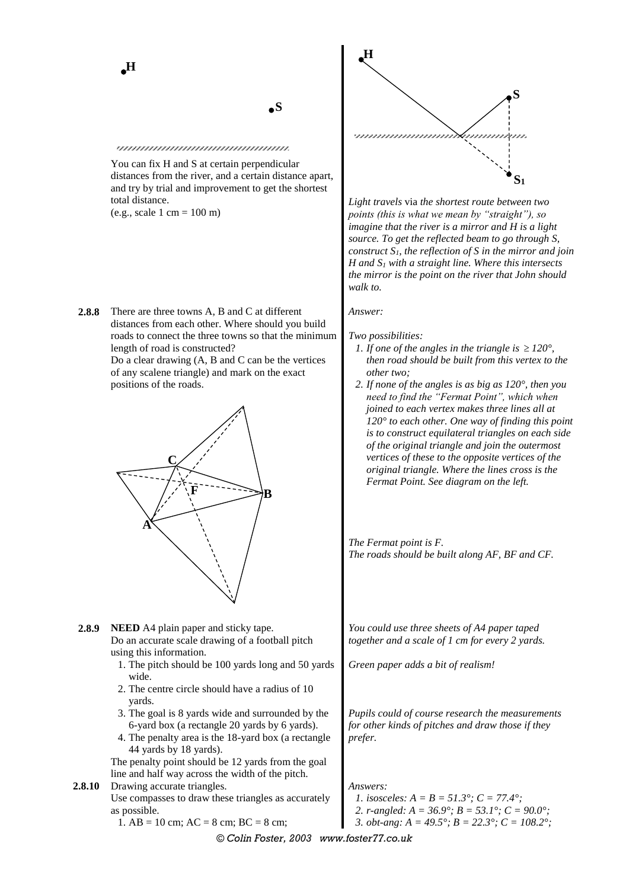**S**

### unnnnnnnnnnnnnnnnnnn

You can fix H and S at certain perpendicular distances from the river, and a certain distance apart, and try by trial and improvement to get the shortest total distance. (e.g., scale 1 cm = 100 m)

**2.8.8** There are three towns A, B and C at different distances from each other. Where should you build roads to connect the three towns so that the minimum length of road is constructed? Do a clear drawing (A, B and C can be the vertices

of any scalene triangle) and mark on the exact positions of the roads.



- **2.8.9 NEED** A4 plain paper and sticky tape. Do an accurate scale drawing of a football pitch using this information.
	- 1. The pitch should be 100 yards long and 50 yards wide.
	- 2. The centre circle should have a radius of 10 yards.
	- 3. The goal is 8 yards wide and surrounded by the 6-yard box (a rectangle 20 yards by 6 yards).
	- 4. The penalty area is the 18-yard box (a rectangle 44 yards by 18 yards).

The penalty point should be 12 yards from the goal line and half way across the width of the pitch.

**2.8.10** Drawing accurate triangles. Use compasses to draw these triangles as accurately as possible.

1. AB = 10 cm; AC = 8 cm; BC = 8 cm;



*Light travels* via *the shortest route between two points (this is what we mean by "straight"), so imagine that the river is a mirror and H is a light source. To get the reflected beam to go through S, construct S1, the reflection of S in the mirror and join H and S<sup>1</sup> with a straight line. Where this intersects the mirror is the point on the river that John should walk to.*

*Answer:*

*Two possibilities:*

- *1. If one of the angles in the triangle is*  $\geq 120^{\circ}$ , *then road should be built from this vertex to the other two;*
- *2. If none of the angles is as big as 120°, then you need to find the "Fermat Point", which when joined to each vertex makes three lines all at 120° to each other. One way of finding this point is to construct equilateral triangles on each side of the original triangle and join the outermost vertices of these to the opposite vertices of the original triangle. Where the lines cross is the Fermat Point. See diagram on the left.*

*The Fermat point is F. The roads should be built along AF, BF and CF.*

*You could use three sheets of A4 paper taped together and a scale of 1 cm for every 2 yards.*

*Green paper adds a bit of realism!*

*Pupils could of course research the measurements for other kinds of pitches and draw those if they prefer.*

*Answers:*

- *1. isosceles: A = B = 51.3°; C = 77.4°;*
- *2. r-angled: A = 36.9°; B = 53.1°; C = 90.0°;*
- *3. obt-ang: A = 49.5°; B = 22.3°; C = 108.2°;*

*© Colin Foster, 2003 www.foster77.co.uk*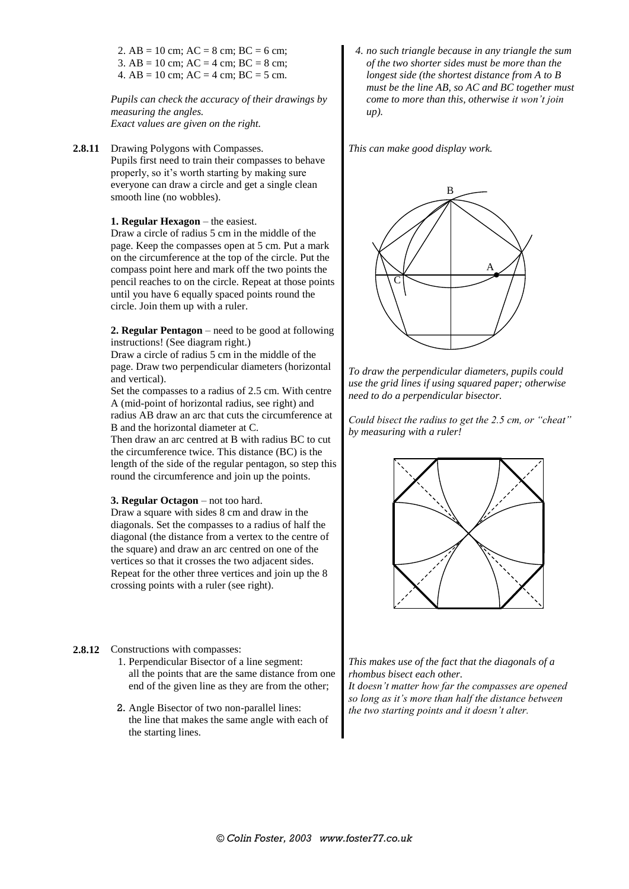2.  $AB = 10$  cm;  $AC = 8$  cm;  $BC = 6$  cm; 3. AB = 10 cm; AC = 4 cm; BC = 8 cm; 4.  $AB = 10$  cm;  $AC = 4$  cm;  $BC = 5$  cm.

*Pupils can check the accuracy of their drawings by measuring the angles. Exact values are given on the right.*

**2.8.11** Drawing Polygons with Compasses. Pupils first need to train their compasses to behave properly, so it's worth starting by making sure everyone can draw a circle and get a single clean smooth line (no wobbles).

### **1. Regular Hexagon** – the easiest.

Draw a circle of radius 5 cm in the middle of the page. Keep the compasses open at 5 cm. Put a mark on the circumference at the top of the circle. Put the compass point here and mark off the two points the pencil reaches to on the circle. Repeat at those points until you have 6 equally spaced points round the circle. Join them up with a ruler.

**2. Regular Pentagon** – need to be good at following instructions! (See diagram right.)

Draw a circle of radius 5 cm in the middle of the page. Draw two perpendicular diameters (horizontal and vertical).

Set the compasses to a radius of 2.5 cm. With centre A (mid-point of horizontal radius, see right) and radius AB draw an arc that cuts the circumference at B and the horizontal diameter at C.

Then draw an arc centred at B with radius BC to cut the circumference twice. This distance (BC) is the length of the side of the regular pentagon, so step this round the circumference and join up the points.

### **3. Regular Octagon** – not too hard.

Draw a square with sides 8 cm and draw in the diagonals. Set the compasses to a radius of half the diagonal (the distance from a vertex to the centre of the square) and draw an arc centred on one of the vertices so that it crosses the two adjacent sides. Repeat for the other three vertices and join up the 8 crossing points with a ruler (see right).

### **2.8.12** Constructions with compasses:

- 1. Perpendicular Bisector of a line segment: all the points that are the same distance from one end of the given line as they are from the other;
- 2. Angle Bisector of two non-parallel lines: the line that makes the same angle with each of the starting lines.

*4. no such triangle because in any triangle the sum of the two shorter sides must be more than the longest side (the shortest distance from A to B must be the line AB, so AC and BC together must come to more than this, otherwise it won't join up).*

*This can make good display work.*



*To draw the perpendicular diameters, pupils could use the grid lines if using squared paper; otherwise need to do a perpendicular bisector.*

*Could bisect the radius to get the 2.5 cm, or "cheat" by measuring with a ruler!*



*This makes use of the fact that the diagonals of a rhombus bisect each other. It doesn't matter how far the compasses are opened so long as it's more than half the distance between the two starting points and it doesn't alter.*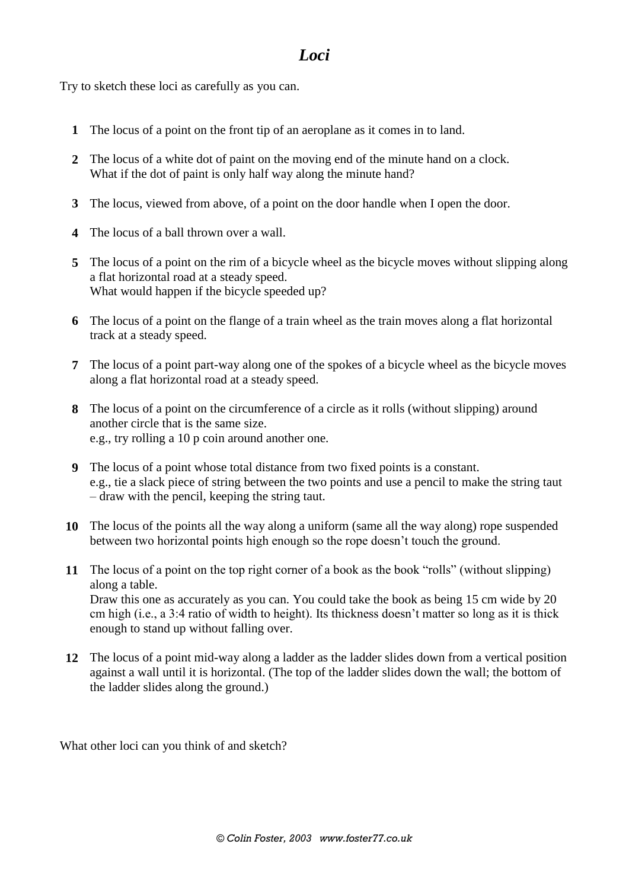# *Loci*

Try to sketch these loci as carefully as you can.

- **1** The locus of a point on the front tip of an aeroplane as it comes in to land.
- **2** The locus of a white dot of paint on the moving end of the minute hand on a clock. What if the dot of paint is only half way along the minute hand?
- **3** The locus, viewed from above, of a point on the door handle when I open the door.
- **4** The locus of a ball thrown over a wall.
- **5** The locus of a point on the rim of a bicycle wheel as the bicycle moves without slipping along a flat horizontal road at a steady speed. What would happen if the bicycle speeded up?
- **6** The locus of a point on the flange of a train wheel as the train moves along a flat horizontal track at a steady speed.
- **7** The locus of a point part-way along one of the spokes of a bicycle wheel as the bicycle moves along a flat horizontal road at a steady speed.
- **8** The locus of a point on the circumference of a circle as it rolls (without slipping) around another circle that is the same size. e.g., try rolling a 10 p coin around another one.
- **9** The locus of a point whose total distance from two fixed points is a constant. e.g., tie a slack piece of string between the two points and use a pencil to make the string taut – draw with the pencil, keeping the string taut.
- **10** The locus of the points all the way along a uniform (same all the way along) rope suspended between two horizontal points high enough so the rope doesn't touch the ground.
- **11** The locus of a point on the top right corner of a book as the book "rolls" (without slipping) along a table. Draw this one as accurately as you can. You could take the book as being 15 cm wide by 20 cm high (i.e., a 3:4 ratio of width to height). Its thickness doesn't matter so long as it is thick enough to stand up without falling over.
- **12** The locus of a point mid-way along a ladder as the ladder slides down from a vertical position against a wall until it is horizontal. (The top of the ladder slides down the wall; the bottom of the ladder slides along the ground.)

What other loci can you think of and sketch?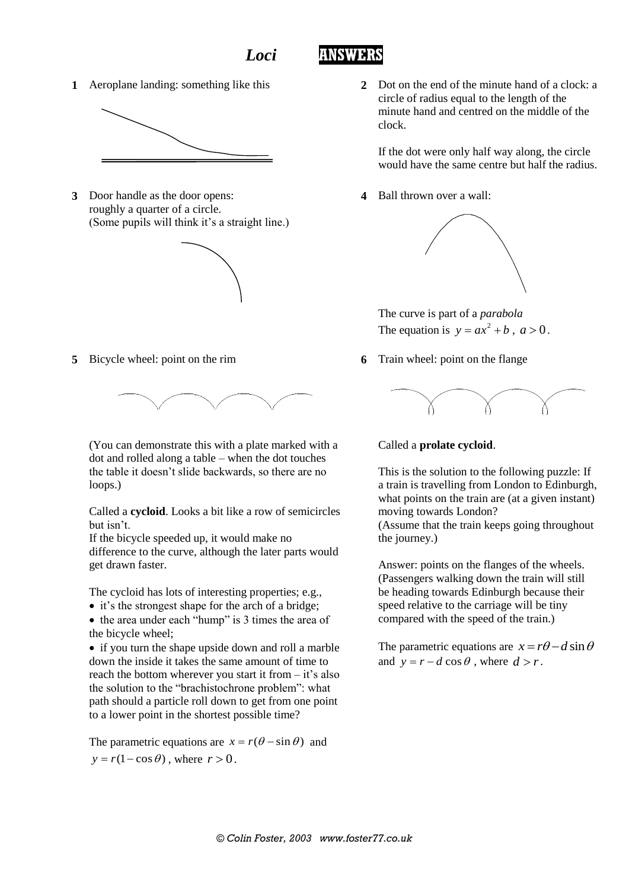## *Loci* **ANSWERS**



**3** Door handle as the door opens: roughly a quarter of a circle. (Some pupils will think it's a straight line.)



**5** Bicycle wheel: point on the rim



(You can demonstrate this with a plate marked with a dot and rolled along a table – when the dot touches the table it doesn't slide backwards, so there are no loops.)

Called a **cycloid**. Looks a bit like a row of semicircles but isn't.

If the bicycle speeded up, it would make no difference to the curve, although the later parts would get drawn faster.

The cycloid has lots of interesting properties; e.g.,

- it's the strongest shape for the arch of a bridge; • the area under each "hump" is 3 times the area of
- the bicycle wheel;

• if you turn the shape upside down and roll a marble down the inside it takes the same amount of time to reach the bottom wherever you start it from – it's also the solution to the "brachistochrone problem": what path should a particle roll down to get from one point to a lower point in the shortest possible time?

The parametric equations are  $x = r(\theta - \sin \theta)$  and  $y = r(1 - \cos \theta)$ , where  $r > 0$ .

**1** Aeroplane landing: something like this **2** Dot on the end of the minute hand of a clock: a circle of radius equal to the length of the minute hand and centred on the middle of the clock.

> If the dot were only half way along, the circle would have the same centre but half the radius.

**4** Ball thrown over a wall:



The curve is part of a *parabola* The equation is  $y = ax^2 + b$ ,  $a > 0$ .

**6** Train wheel: point on the flange



Called a **prolate cycloid**.

This is the solution to the following puzzle: If a train is travelling from London to Edinburgh, what points on the train are (at a given instant) moving towards London?

(Assume that the train keeps going throughout the journey.)

Answer: points on the flanges of the wheels. (Passengers walking down the train will still be heading towards Edinburgh because their speed relative to the carriage will be tiny compared with the speed of the train.)

The parametric equations are  $x = r\theta - d\sin\theta$ and  $y = r - d \cos \theta$ , where  $d > r$ .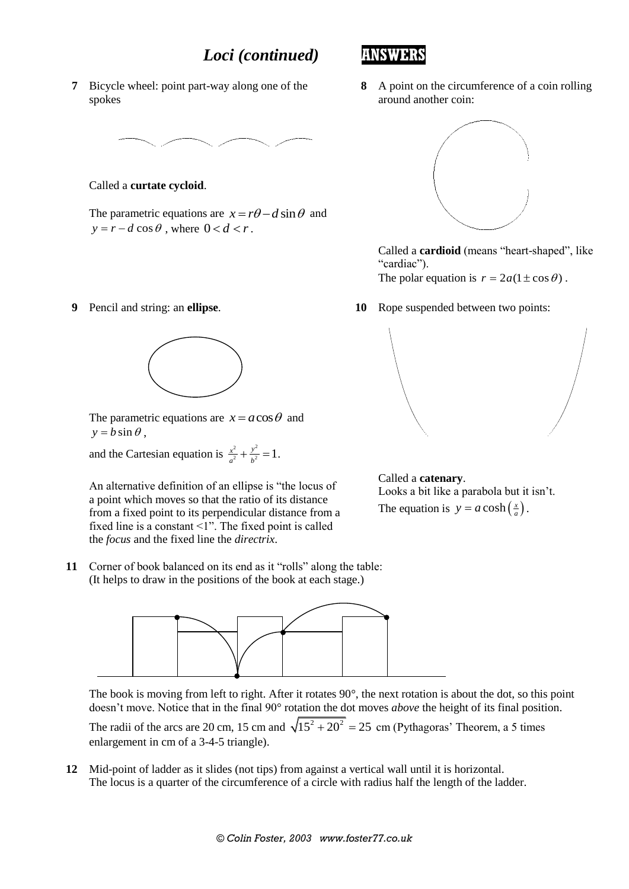# *Loci (continued)* **ANSWERS**

**7** Bicycle wheel: point part-way along one of the spokes



Called a **curtate cycloid**.

The parametric equations are  $x = r\theta - d\sin\theta$  and  $y = r - d \cos \theta$ , where  $0 < d < r$ .

**9** Pencil and string: an **ellipse**.



The parametric equations are  $x = a \cos \theta$  and  $y = b \sin \theta$ ,

and the Cartesian equation is  $\frac{x^2}{a^2} + \frac{y^2}{b^2} = 1$  $\frac{x^2}{a^2} + \frac{y^2}{b^2} = 1$ .

An alternative definition of an ellipse is "the locus of a point which moves so that the ratio of its distance from a fixed point to its perpendicular distance from a fixed line is a constant <1". The fixed point is called the *focus* and the fixed line the *directrix*.

**11** Corner of book balanced on its end as it "rolls" along the table: (It helps to draw in the positions of the book at each stage.)



The book is moving from left to right. After it rotates 90°, the next rotation is about the dot, so this point doesn't move. Notice that in the final 90° rotation the dot moves *above* the height of its final position.

The radii of the arcs are 20 cm, 15 cm and  $\sqrt{15^2 + 20^2} = 25$  cm (Pythagoras' Theorem, a 5 times enlargement in cm of a 3-4-5 triangle).

**12** Mid-point of ladder as it slides (not tips) from against a vertical wall until it is horizontal. The locus is a quarter of the circumference of a circle with radius half the length of the ladder.





Called a **cardioid** (means "heart-shaped", like "cardiac").

The polar equation is  $r = 2a(1 \pm \cos \theta)$ .

**10** Rope suspended between two points:



Called a **catenary**. Looks a bit like a parabola but it isn't. The equation is  $y = a \cosh(\frac{x}{a})$ .